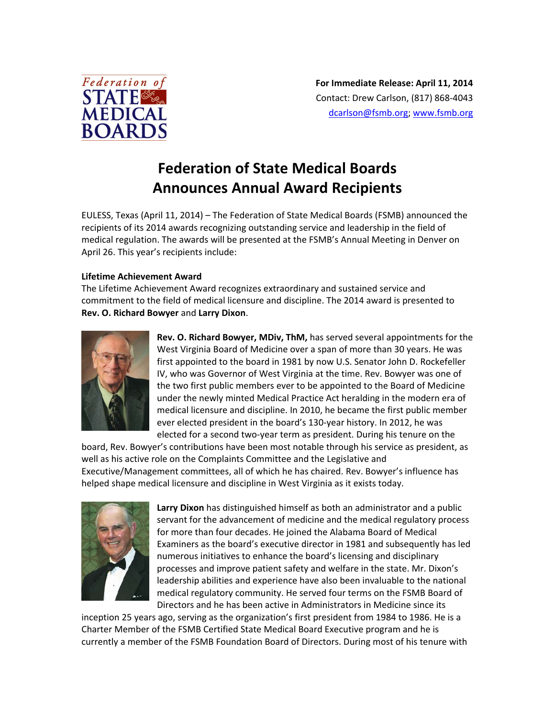

# **Federation of State Medical Boards Announces Annual Award Recipients**

EULESS, Texas (April 11, 2014) – The Federation of State Medical Boards (FSMB) announced the recipients of its 2014 awards recognizing outstanding service and leadership in the field of medical regulation. The awards will be presented at the FSMB's Annual Meeting in Denver on April 26. This year's recipients include:

## **Lifetime Achievement Award**

The Lifetime Achievement Award recognizes extraordinary and sustained service and commitment to the field of medical licensure and discipline. The 2014 award is presented to **Rev. O. Richard Bowyer** and **Larry Dixon**.



**Rev. O. Richard Bowyer, MDiv, ThM,** has served several appointments for the West Virginia Board of Medicine over a span of more than 30 years. He was first appointed to the board in 1981 by now U.S. Senator John D. Rockefeller IV, who was Governor of West Virginia at the time. Rev. Bowyer was one of the two first public members ever to be appointed to the Board of Medicine under the newly minted Medical Practice Act heralding in the modern era of medical licensure and discipline. In 2010, he became the first public member ever elected president in the board's 130‐year history. In 2012, he was elected for a second two‐year term as president. During his tenure on the

board, Rev. Bowyer's contributions have been most notable through his service as president, as well as his active role on the Complaints Committee and the Legislative and Executive/Management committees, all of which he has chaired. Rev. Bowyer's influence has helped shape medical licensure and discipline in West Virginia as it exists today.



**Larry Dixon** has distinguished himself as both an administrator and a public servant for the advancement of medicine and the medical regulatory process for more than four decades. He joined the Alabama Board of Medical Examiners as the board's executive director in 1981 and subsequently has led numerous initiatives to enhance the board's licensing and disciplinary processes and improve patient safety and welfare in the state. Mr. Dixon's leadership abilities and experience have also been invaluable to the national medical regulatory community. He served four terms on the FSMB Board of Directors and he has been active in Administrators in Medicine since its

inception 25 years ago, serving as the organization's first president from 1984 to 1986. He is a Charter Member of the FSMB Certified State Medical Board Executive program and he is currently a member of the FSMB Foundation Board of Directors. During most of his tenure with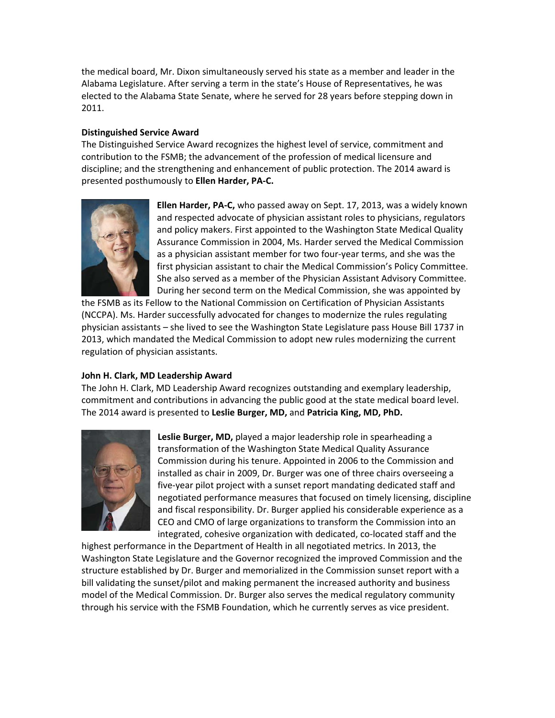the medical board, Mr. Dixon simultaneously served his state as a member and leader in the Alabama Legislature. After serving a term in the state's House of Representatives, he was elected to the Alabama State Senate, where he served for 28 years before stepping down in 2011.

## **Distinguished Service Award**

The Distinguished Service Award recognizes the highest level of service, commitment and contribution to the FSMB; the advancement of the profession of medical licensure and discipline; and the strengthening and enhancement of public protection. The 2014 award is presented posthumously to **Ellen Harder, PA‐C.** 



**Ellen Harder, PA‐C,** who passed away on Sept. 17, 2013, was a widely known and respected advocate of physician assistant roles to physicians, regulators and policy makers. First appointed to the Washington State Medical Quality Assurance Commission in 2004, Ms. Harder served the Medical Commission as a physician assistant member for two four‐year terms, and she was the first physician assistant to chair the Medical Commission's Policy Committee. She also served as a member of the Physician Assistant Advisory Committee. During her second term on the Medical Commission, she was appointed by

the FSMB as its Fellow to the National Commission on Certification of Physician Assistants (NCCPA). Ms. Harder successfully advocated for changes to modernize the rules regulating physician assistants – she lived to see the Washington State Legislature pass House Bill 1737 in 2013, which mandated the Medical Commission to adopt new rules modernizing the current regulation of physician assistants.

## **John H. Clark, MD Leadership Award**

The John H. Clark, MD Leadership Award recognizes outstanding and exemplary leadership, commitment and contributions in advancing the public good at the state medical board level. The 2014 award is presented to **Leslie Burger, MD,** and **Patricia King, MD, PhD.** 



**Leslie Burger, MD,** played a major leadership role in spearheading a transformation of the Washington State Medical Quality Assurance Commission during his tenure. Appointed in 2006 to the Commission and installed as chair in 2009, Dr. Burger was one of three chairs overseeing a five‐year pilot project with a sunset report mandating dedicated staff and negotiated performance measures that focused on timely licensing, discipline and fiscal responsibility. Dr. Burger applied his considerable experience as a CEO and CMO of large organizations to transform the Commission into an integrated, cohesive organization with dedicated, co‐located staff and the

highest performance in the Department of Health in all negotiated metrics. In 2013, the Washington State Legislature and the Governor recognized the improved Commission and the structure established by Dr. Burger and memorialized in the Commission sunset report with a bill validating the sunset/pilot and making permanent the increased authority and business model of the Medical Commission. Dr. Burger also serves the medical regulatory community through his service with the FSMB Foundation, which he currently serves as vice president.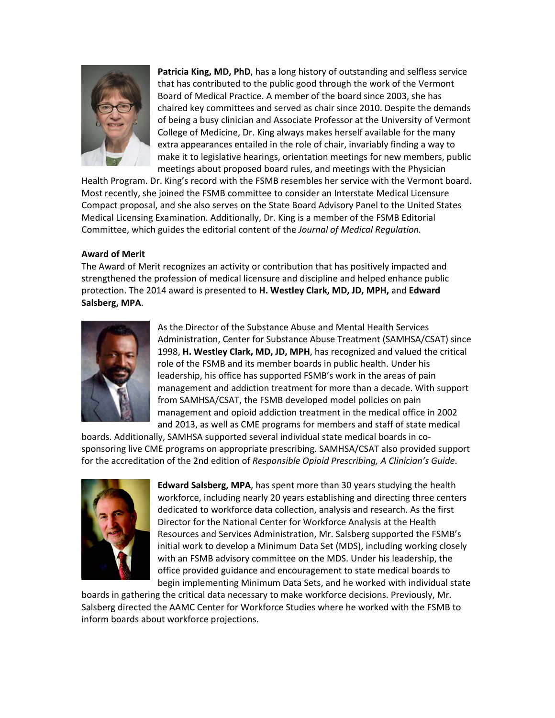

**Patricia King, MD, PhD**, has a long history of outstanding and selfless service that has contributed to the public good through the work of the Vermont Board of Medical Practice. A member of the board since 2003, she has chaired key committees and served as chair since 2010. Despite the demands of being a busy clinician and Associate Professor at the University of Vermont College of Medicine, Dr. King always makes herself available for the many extra appearances entailed in the role of chair, invariably finding a way to make it to legislative hearings, orientation meetings for new members, public meetings about proposed board rules, and meetings with the Physician

Health Program. Dr. King's record with the FSMB resembles her service with the Vermont board. Most recently, she joined the FSMB committee to consider an Interstate Medical Licensure Compact proposal, and she also serves on the State Board Advisory Panel to the United States Medical Licensing Examination. Additionally, Dr. King is a member of the FSMB Editorial Committee, which guides the editorial content of the *Journal of Medical Regulation.*

## **Award of Merit**

The Award of Merit recognizes an activity or contribution that has positively impacted and strengthened the profession of medical licensure and discipline and helped enhance public protection. The 2014 award is presented to **H. Westley Clark, MD, JD, MPH,** and **Edward Salsberg, MPA**.



As the Director of the Substance Abuse and Mental Health Services Administration, Center for Substance Abuse Treatment (SAMHSA/CSAT) since 1998, **H. Westley Clark, MD, JD, MPH**, has recognized and valued the critical role of the FSMB and its member boards in public health. Under his leadership, his office has supported FSMB's work in the areas of pain management and addiction treatment for more than a decade. With support from SAMHSA/CSAT, the FSMB developed model policies on pain management and opioid addiction treatment in the medical office in 2002 and 2013, as well as CME programs for members and staff of state medical

boards. Additionally, SAMHSA supported several individual state medical boards in co‐ sponsoring live CME programs on appropriate prescribing. SAMHSA/CSAT also provided support for the accreditation of the 2nd edition of *Responsible Opioid Prescribing, A Clinician's Guide*.



**Edward Salsberg, MPA**, has spent more than 30 years studying the health workforce, including nearly 20 years establishing and directing three centers dedicated to workforce data collection, analysis and research. As the first Director for the National Center for Workforce Analysis at the Health Resources and Services Administration, Mr. Salsberg supported the FSMB's initial work to develop a Minimum Data Set (MDS), including working closely with an FSMB advisory committee on the MDS. Under his leadership, the office provided guidance and encouragement to state medical boards to begin implementing Minimum Data Sets, and he worked with individual state

boards in gathering the critical data necessary to make workforce decisions. Previously, Mr. Salsberg directed the AAMC Center for Workforce Studies where he worked with the FSMB to inform boards about workforce projections.